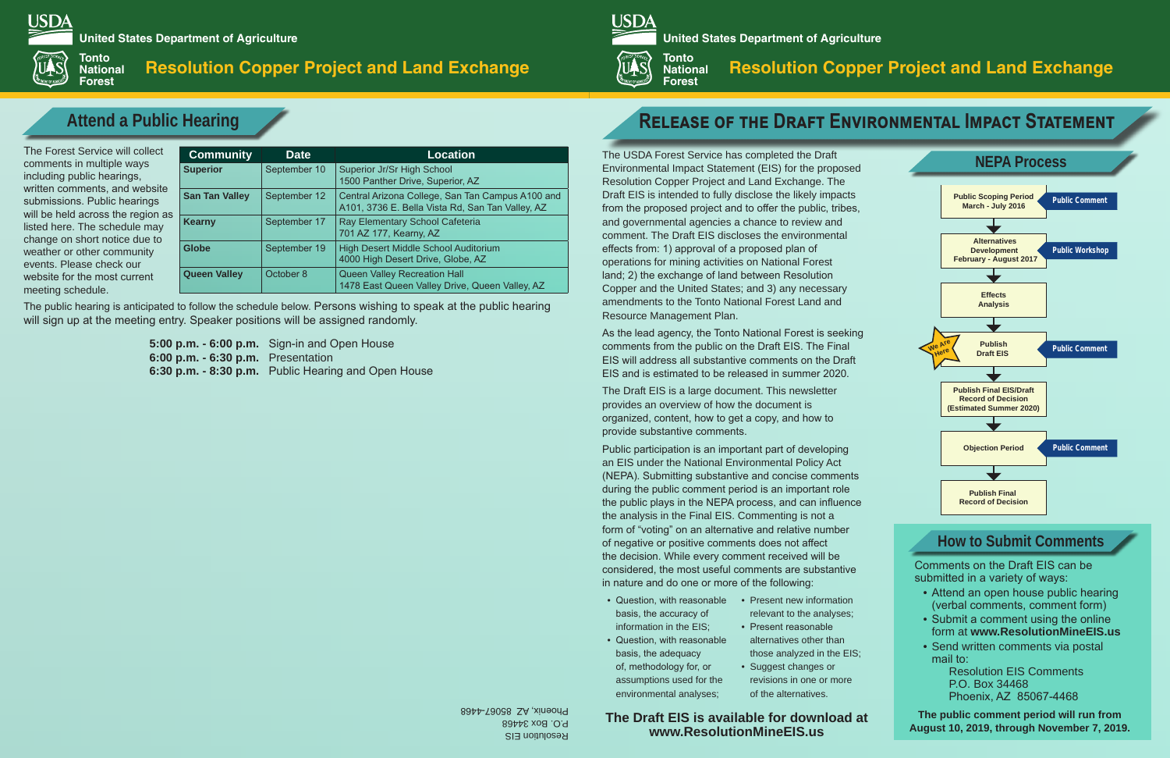The USDA Forest Service has completed the Draft Environmental Impact Statement (EIS) for the proposed Resolution Copper Project and Land Exchange. The Draft EIS is intended to fully disclose the likely impacts from the proposed project and to offer the public, tribes, and governmental agencies a chance to review and comment. The Draft EIS discloses the environmental effects from: 1) approval of a proposed plan of operations for mining activities on National Forest land; 2) the exchange of land between Resolution Copper and the United States; and 3) any necessary amendments to the Tonto National Forest Land and Resource Management Plan.

As the lead agency, the Tonto National Forest is seeking comments from the public on the Draft EIS. The Final EIS will address all substantive comments on the Draft EIS and is estimated to be released in summer 2020.

- Question, with reasonable Present new information basis, the accuracy of information in the EIS;
- Question, with reasonable basis, the adequacy of, methodology for, or assumptions used for the environmental analyses;

The Draft EIS is a large document. This newsletter provides an overview of how the document is organized, content, how to get a copy, and how to provide substantive comments.

- Attend an open house public hearing (verbal comments, comment form)
- Submit a comment using the online form at **www.ResolutionMineEIS.us**
- Send written comments via postal mail to:

Public participation is an important part of developing an EIS under the National Environmental Policy Act (NEPA). Submitting substantive and concise comments during the public comment period is an important role the public plays in the NEPA process, and can influence the analysis in the Final EIS. Commenting is not a form of "voting" on an alternative and relative number of negative or positive comments does not affect the decision. While every comment received will be considered, the most useful comments are substantive in nature and do one or more of the following:

The Forest Service will colle comments in multiple ways including public hearings, written comments, and webs submissions. Public hearings will be held across the region listed here. The schedule may change on short notice due to weather or other community events. Please check our website for the most current meeting schedule.

> Comments on the Draft EIS can be submitted in a variety of ways:

> > Resolution EIS Comments P.O. Box 34468 Phoenix, AZ 85067-4468

Resolution EIS P.O. Box 34468 Phoenix, AZ 85067-4468

# **Resolution Copper Project and Land Exchange**

**Record of Decision**

| ct                                             | <b>Community</b>      | <b>Date</b>  | <b>Location</b>                                                                                      |  |  |
|------------------------------------------------|-----------------------|--------------|------------------------------------------------------------------------------------------------------|--|--|
| ite<br>$\mathbf{S}^{\dagger}$<br>as<br>ιý<br>O | <b>Superior</b>       | September 10 | Superior Jr/Sr High School<br>1500 Panther Drive, Superior, AZ                                       |  |  |
|                                                | <b>San Tan Valley</b> | September 12 | Central Arizona College, San Tan Campus A100 and<br>A101, 3736 E. Bella Vista Rd, San Tan Valley, AZ |  |  |
|                                                | <b>Kearny</b>         | September 17 | Ray Elementary School Cafeteria<br>701 AZ 177, Kearny, AZ                                            |  |  |
|                                                | <b>Globe</b>          | September 19 | High Desert Middle School Auditorium<br>4000 High Desert Drive, Globe, AZ                            |  |  |
|                                                | <b>Queen Valley</b>   | October 8    | <b>Queen Valley Recreation Hall</b><br>1478 East Queen Valley Drive, Queen Valley, AZ                |  |  |

# **Alternatives Development Effects Analysis Publish Draft EIS Publish Final EIS/Draft Record of Decision (Estimated Summer 2020) Objection Period Publish Final Public Scoping Period March - July 2016 Public Workshop Public Comment Public Comment February - August 2017 Public Comment We Are Here Attend a Public Hearing The Contract Of the DRAFT ENVIRONMENTAL IMPACT STATEMENT NEPA Process**

**5:00 p.m. - 6:00 p.m.** Sign-in and Open House **6:00 p.m. - 6:30 p.m.** Presentation **6:30 p.m. - 8:30 p.m.** Public Hearing and Open House

The public hearing is anticipated to follow the schedule below. Persons wishing to speak at the public hearing will sign up at the meeting entry. Speaker positions will be assigned randomly.

> **The Draft EIS is available for download at www.ResolutionMineEIS.us**

**The public comment period will run from August 10, 2019, through November 7, 2019.**

relevant to the analyses; • Present reasonable

- alternatives other than those analyzed in the EIS;
- Suggest changes or revisions in one or more of the alternatives.

# **How to Submit Comments**

**United States Department of Agriculture**

**Tonto ULLS National**



# **Resolution Copper Project and Land Exchange**